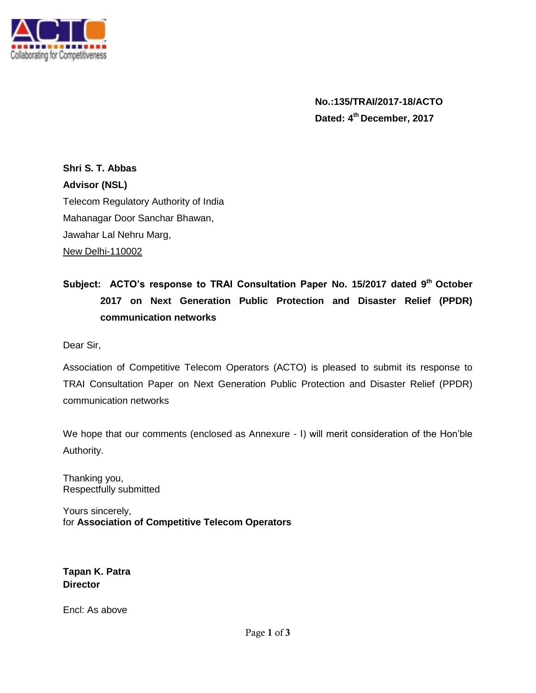

**No.:135/TRAI/2017-18/ACTO Dated: 4 th December, 2017**

**Shri S. T. Abbas Advisor (NSL)** Telecom Regulatory Authority of India Mahanagar Door Sanchar Bhawan, Jawahar Lal Nehru Marg, New Delhi-110002

# **Subject: ACTO's response to TRAI Consultation Paper No. 15/2017 dated 9th October 2017 on Next Generation Public Protection and Disaster Relief (PPDR) communication networks**

Dear Sir,

Association of Competitive Telecom Operators (ACTO) is pleased to submit its response to TRAI Consultation Paper on Next Generation Public Protection and Disaster Relief (PPDR) communication networks

We hope that our comments (enclosed as Annexure - I) will merit consideration of the Hon'ble Authority.

Thanking you, Respectfully submitted

Yours sincerely, for **Association of Competitive Telecom Operators**

**Tapan K. Patra Director**

Encl: As above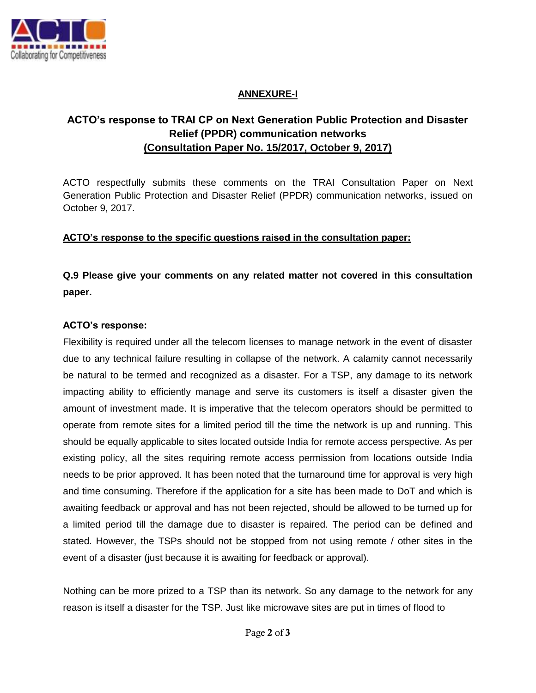

### **ANNEXURE-I**

## **ACTO's response to TRAI CP on Next Generation Public Protection and Disaster Relief (PPDR) communication networks (Consultation Paper No. 15/2017, October 9, 2017)**

ACTO respectfully submits these comments on the TRAI Consultation Paper on Next Generation Public Protection and Disaster Relief (PPDR) communication networks, issued on October 9, 2017.

### **ACTO's response to the specific questions raised in the consultation paper:**

**Q.9 Please give your comments on any related matter not covered in this consultation paper.**

### **ACTO's response:**

Flexibility is required under all the telecom licenses to manage network in the event of disaster due to any technical failure resulting in collapse of the network. A calamity cannot necessarily be natural to be termed and recognized as a disaster. For a TSP, any damage to its network impacting ability to efficiently manage and serve its customers is itself a disaster given the amount of investment made. It is imperative that the telecom operators should be permitted to operate from remote sites for a limited period till the time the network is up and running. This should be equally applicable to sites located outside India for remote access perspective. As per existing policy, all the sites requiring remote access permission from locations outside India needs to be prior approved. It has been noted that the turnaround time for approval is very high and time consuming. Therefore if the application for a site has been made to DoT and which is awaiting feedback or approval and has not been rejected, should be allowed to be turned up for a limited period till the damage due to disaster is repaired. The period can be defined and stated. However, the TSPs should not be stopped from not using remote / other sites in the event of a disaster (just because it is awaiting for feedback or approval).

Nothing can be more prized to a TSP than its network. So any damage to the network for any reason is itself a disaster for the TSP. Just like microwave sites are put in times of flood to